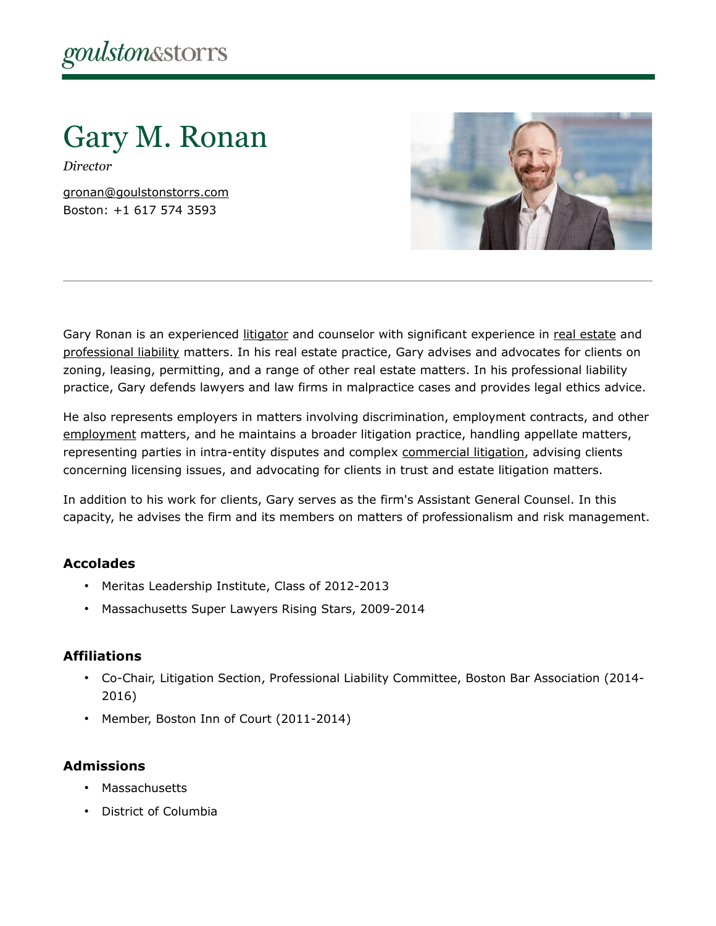Gary M. Ronan

*Director*

[gronan@goulstonstorrs.com](mailto:gronan@goulstonstorrs.com) Boston: +1 617 574 3593



Gary Ronan is an experienced [litigator](https://www.goulstonstorrs.com/litigation/) and counselor with significant experience in [real estate](https://www.goulstonstorrs.com/real-estate-litigation/) and [professional liability](https://www.goulstonstorrs.com/professional-liability/) matters. In his real estate practice, Gary advises and advocates for clients on zoning, leasing, permitting, and a range of other real estate matters. In his professional liability practice, Gary defends lawyers and law firms in malpractice cases and provides legal ethics advice.

He also represents employers in matters involving discrimination, employment contracts, and other [employment](https://www.goulstonstorrs.com/employment-litigation/) matters, and he maintains a broader litigation practice, handling appellate matters, representing parties in intra-entity disputes and complex [commercial litigation,](https://www.goulstonstorrs.com/business-commercial-litigation/) advising clients concerning licensing issues, and advocating for clients in trust and estate litigation matters.

In addition to his work for clients, Gary serves as the firm's Assistant General Counsel. In this capacity, he advises the firm and its members on matters of professionalism and risk management.

# **Accolades**

- Meritas Leadership Institute, Class of 2012-2013
- Massachusetts Super Lawyers Rising Stars, 2009-2014

# **Affiliations**

- Co-Chair, Litigation Section, Professional Liability Committee, Boston Bar Association (2014- 2016)
- Member, Boston Inn of Court (2011-2014)

# **Admissions**

- Massachusetts
- District of Columbia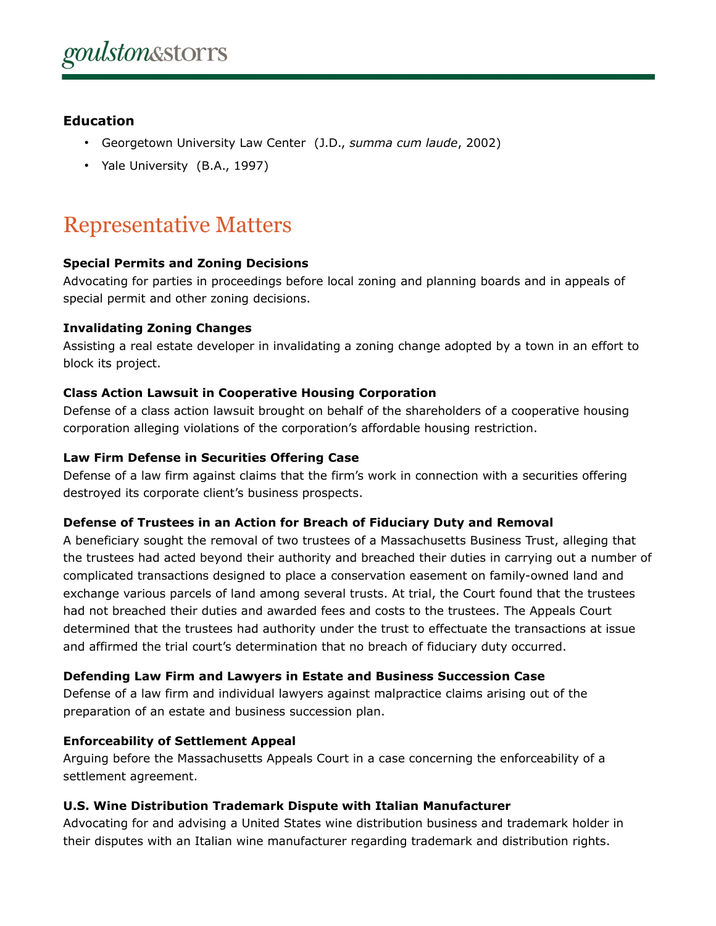# **Education**

- Georgetown University Law Center (J.D., *summa cum laude*, 2002)
- Yale University (B.A., 1997)

# Representative Matters

#### **Special Permits and Zoning Decisions**

Advocating for parties in proceedings before local zoning and planning boards and in appeals of special permit and other zoning decisions.

#### **Invalidating Zoning Changes**

Assisting a real estate developer in invalidating a zoning change adopted by a town in an effort to block its project.

#### **Class Action Lawsuit in Cooperative Housing Corporation**

Defense of a class action lawsuit brought on behalf of the shareholders of a cooperative housing corporation alleging violations of the corporation's affordable housing restriction.

#### **Law Firm Defense in Securities Offering Case**

Defense of a law firm against claims that the firm's work in connection with a securities offering destroyed its corporate client's business prospects.

#### **Defense of Trustees in an Action for Breach of Fiduciary Duty and Removal**

A beneficiary sought the removal of two trustees of a Massachusetts Business Trust, alleging that the trustees had acted beyond their authority and breached their duties in carrying out a number of complicated transactions designed to place a conservation easement on family-owned land and exchange various parcels of land among several trusts. At trial, the Court found that the trustees had not breached their duties and awarded fees and costs to the trustees. The Appeals Court determined that the trustees had authority under the trust to effectuate the transactions at issue and affirmed the trial court's determination that no breach of fiduciary duty occurred.

# **Defending Law Firm and Lawyers in Estate and Business Succession Case**

Defense of a law firm and individual lawyers against malpractice claims arising out of the preparation of an estate and business succession plan.

# **Enforceability of Settlement Appeal**

Arguing before the Massachusetts Appeals Court in a case concerning the enforceability of a settlement agreement.

# **U.S. Wine Distribution Trademark Dispute with Italian Manufacturer**

Advocating for and advising a United States wine distribution business and trademark holder in their disputes with an Italian wine manufacturer regarding trademark and distribution rights.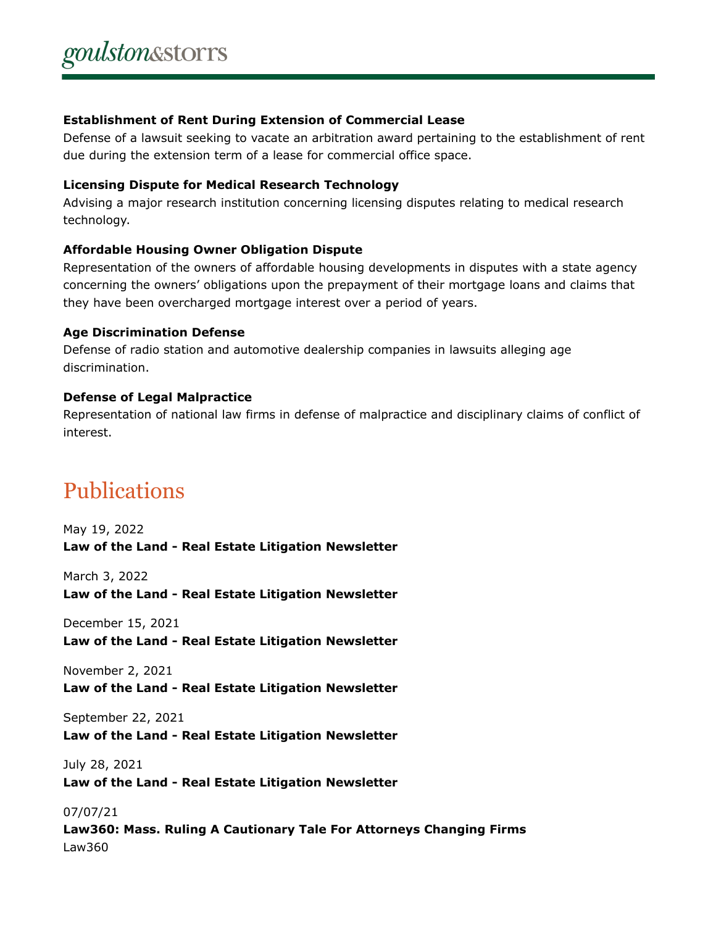#### **Establishment of Rent During Extension of Commercial Lease**

Defense of a lawsuit seeking to vacate an arbitration award pertaining to the establishment of rent due during the extension term of a lease for commercial office space.

#### **Licensing Dispute for Medical Research Technology**

Advising a major research institution concerning licensing disputes relating to medical research technology.

# **Affordable Housing Owner Obligation Dispute**

Representation of the owners of affordable housing developments in disputes with a state agency concerning the owners' obligations upon the prepayment of their mortgage loans and claims that they have been overcharged mortgage interest over a period of years.

#### **Age Discrimination Defense**

Defense of radio station and automotive dealership companies in lawsuits alleging age discrimination.

# **Defense of Legal Malpractice**

Representation of national law firms in defense of malpractice and disciplinary claims of conflict of interest.

# Publications

May 19, 2022 **Law of the Land - Real Estate Litigation Newsletter**

March 3, 2022 **Law of the Land - Real Estate Litigation Newsletter**

December 15, 2021 **Law of the Land - Real Estate Litigation Newsletter**

November 2, 2021 **Law of the Land - Real Estate Litigation Newsletter**

September 22, 2021

**Law of the Land - Real Estate Litigation Newsletter**

July 28, 2021 **Law of the Land - Real Estate Litigation Newsletter**

07/07/21 **Law360: Mass. Ruling A Cautionary Tale For Attorneys Changing Firms** Law360